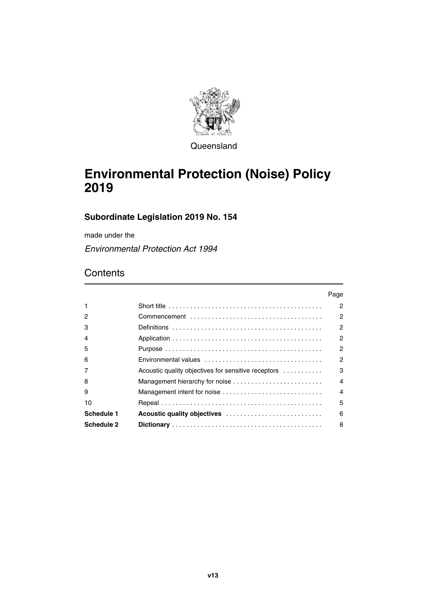

**Queensland** 

# **Environmental Protection (Noise) Policy 2019**

## **Subordinate Legislation 2019 No. 154**

made under the

*Environmental Protection Act 1994*

# **Contents**

|            |                                                                                            | Page                   |
|------------|--------------------------------------------------------------------------------------------|------------------------|
| 1          | Short title $\ldots \ldots \ldots \ldots \ldots \ldots \ldots \ldots \ldots \ldots \ldots$ | 2                      |
| 2          |                                                                                            | 2                      |
| з          |                                                                                            | 2                      |
|            |                                                                                            | 2                      |
| 5          |                                                                                            | 2                      |
| 6          |                                                                                            | 2                      |
|            | Acoustic quality objectives for sensitive receptors                                        | 3                      |
| 8          | Management hierarchy for noise                                                             | $\boldsymbol{\Lambda}$ |
| 9          | Management intent for noise                                                                | 4                      |
| 10         |                                                                                            | 5                      |
| Schedule 1 | Acoustic quality objectives                                                                | 6                      |
| Schedule 2 |                                                                                            | 8                      |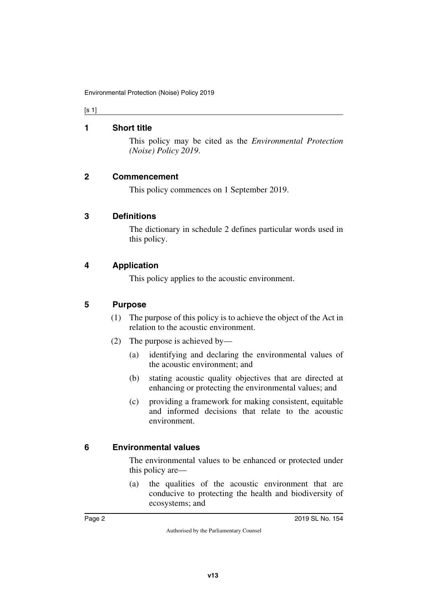#### [s 1]

#### <span id="page-1-0"></span>**1 Short title**

<span id="page-1-1"></span>This policy may be cited as the *Environmental Protection (Noise) Policy 2019*.

#### <span id="page-1-2"></span>**2 Commencement**

<span id="page-1-5"></span><span id="page-1-3"></span>This policy commences on 1 September 2019.

#### <span id="page-1-4"></span>**3 Definitions**

The dictionary in schedule 2 defines particular words used in this policy.

#### <span id="page-1-6"></span>**4 Application**

<span id="page-1-7"></span>This policy applies to the acoustic environment.

#### <span id="page-1-8"></span>**5 Purpose**

- <span id="page-1-9"></span>(1) The purpose of this policy is to achieve the object of the Act in relation to the acoustic environment.
- (2) The purpose is achieved by—
	- (a) identifying and declaring the environmental values of the acoustic environment; and
	- (b) stating acoustic quality objectives that are directed at enhancing or protecting the environmental values; and
	- (c) providing a framework for making consistent, equitable and informed decisions that relate to the acoustic environment.

#### <span id="page-1-10"></span>**6 Environmental values**

<span id="page-1-11"></span>The environmental values to be enhanced or protected under this policy are—

(a) the qualities of the acoustic environment that are conducive to protecting the health and biodiversity of ecosystems; and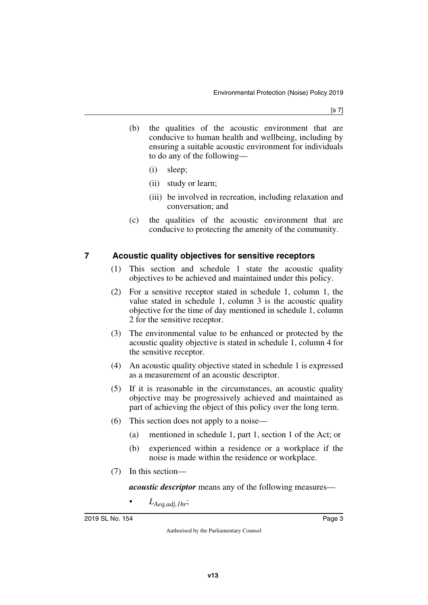- (b) the qualities of the acoustic environment that are conducive to human health and wellbeing, including by ensuring a suitable acoustic environment for individuals to do any of the following—
	- (i) sleep;
	- (ii) study or learn;
	- (iii) be involved in recreation, including relaxation and conversation; and
- (c) the qualities of the acoustic environment that are conducive to protecting the amenity of the community.

### <span id="page-2-0"></span>**7 Acoustic quality objectives for sensitive receptors**

- <span id="page-2-1"></span>(1) This section and schedule 1 state the acoustic quality objectives to be achieved and maintained under this policy.
- (2) For a sensitive receptor stated in schedule 1, column 1, the value stated in schedule 1, column 3 is the acoustic quality objective for the time of day mentioned in schedule 1, column 2 for the sensitive receptor.
- (3) The environmental value to be enhanced or protected by the acoustic quality objective is stated in schedule 1, column 4 for the sensitive receptor.
- (4) An acoustic quality objective stated in schedule 1 is expressed as a measurement of an acoustic descriptor.
- (5) If it is reasonable in the circumstances, an acoustic quality objective may be progressively achieved and maintained as part of achieving the object of this policy over the long term.
- (6) This section does not apply to a noise—
	- (a) mentioned in schedule 1, part 1, section 1 of the Act; or
	- (b) experienced within a residence or a workplace if the noise is made within the residence or workplace.
- (7) In this section—

*acoustic descriptor* means any of the following measures—

• *LAeq,adj,1hr*;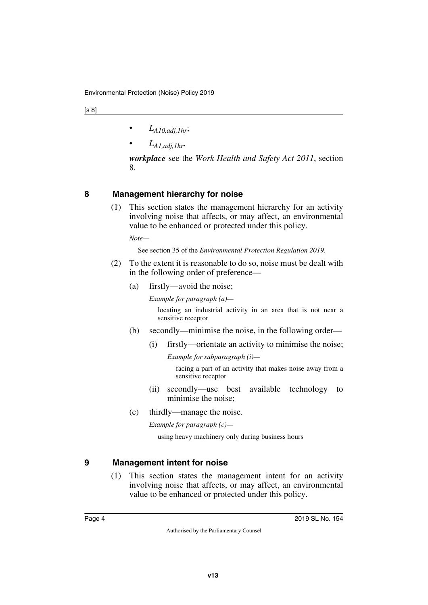- $\bullet$  *L*<sub>A10,adj,1hr</sub>;
- *LA1,adj,1hr*.

*workplace* see the *Work Health and Safety Act 2011*, section 8.

### <span id="page-3-0"></span>**8 Management hierarchy for noise**

<span id="page-3-1"></span>(1) This section states the management hierarchy for an activity involving noise that affects, or may affect, an environmental value to be enhanced or protected under this policy.

*Note—*

See section 35 of the *Environmental Protection Regulation 2019*.

- (2) To the extent it is reasonable to do so, noise must be dealt with in the following order of preference—
	- (a) firstly—avoid the noise;

*Example for paragraph (a)—*

locating an industrial activity in an area that is not near a sensitive receptor

- (b) secondly—minimise the noise, in the following order—
	- (i) firstly—orientate an activity to minimise the noise;

*Example for subparagraph (i)—*

facing a part of an activity that makes noise away from a sensitive receptor

- (ii) secondly—use best available technology to minimise the noise;
- (c) thirdly—manage the noise.

*Example for paragraph (c)—*

using heavy machinery only during business hours

### <span id="page-3-2"></span>**9 Management intent for noise**

<span id="page-3-3"></span>(1) This section states the management intent for an activity involving noise that affects, or may affect, an environmental value to be enhanced or protected under this policy.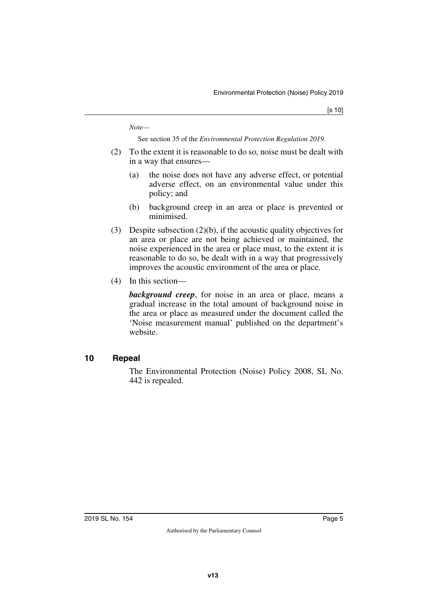*Note—*

See section 35 of the *Environmental Protection Regulation 2019*.

- (2) To the extent it is reasonable to do so, noise must be dealt with in a way that ensures—
	- (a) the noise does not have any adverse effect, or potential adverse effect, on an environmental value under this policy; and
	- (b) background creep in an area or place is prevented or minimised.
- (3) Despite subsection (2)(b), if the acoustic quality objectives for an area or place are not being achieved or maintained, the noise experienced in the area or place must, to the extent it is reasonable to do so, be dealt with in a way that progressively improves the acoustic environment of the area or place.
- (4) In this section—

*background creep*, for noise in an area or place, means a gradual increase in the total amount of background noise in the area or place as measured under the document called the 'Noise measurement manual' published on the department's website.

#### <span id="page-4-0"></span>**10 Repeal**

<span id="page-4-1"></span>The Environmental Protection (Noise) Policy 2008, SL No. 442 is repealed.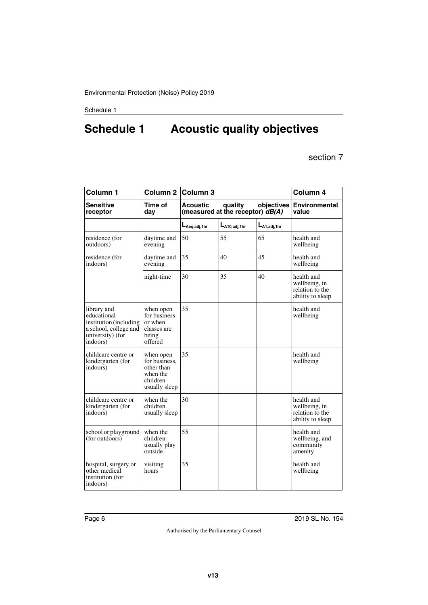# <span id="page-5-1"></span><span id="page-5-0"></span>**Schedule 1 Acoustic quality objectives**

section 7

| Column <sub>1</sub>                                                                                           | Column 2 Column 3                                                                 |                                                       | Column 4                      |                  |                                                                    |
|---------------------------------------------------------------------------------------------------------------|-----------------------------------------------------------------------------------|-------------------------------------------------------|-------------------------------|------------------|--------------------------------------------------------------------|
| <b>Sensitive</b><br>receptor                                                                                  | Time of<br>day                                                                    | <b>Acoustic</b><br>(measured at the receptor) $dB(A)$ | <b>Environmental</b><br>value |                  |                                                                    |
|                                                                                                               |                                                                                   | $L_{Aeq,adj,1hr}$                                     | $L_{A10,adj,1hr}$             | $L_{A1,adj,1hr}$ |                                                                    |
| residence (for<br>outdoors)                                                                                   | daytime and<br>evening                                                            | 50                                                    | 55                            | 65               | health and<br>wellbeing                                            |
| residence (for<br>indoors)                                                                                    | daytime and<br>evening                                                            | 35                                                    | 40                            | 45               | health and<br>wellbeing                                            |
|                                                                                                               | night-time                                                                        | 30                                                    | 35                            | 40               | health and<br>wellbeing, in<br>relation to the<br>ability to sleep |
| library and<br>educational<br>institution (including<br>a school, college and<br>university) (for<br>indoors) | when open<br>for business<br>or when<br>classes are<br>being<br>offered           | 35                                                    |                               |                  | health and<br>wellbeing                                            |
| childcare centre or<br>kindergarten (for<br>indoors)                                                          | when open<br>for business,<br>other than<br>when the<br>children<br>usually sleep | 35                                                    |                               |                  | health and<br>wellbeing                                            |
| childcare centre or<br>kindergarten (for<br>indoors)                                                          | when the<br>children<br>usually sleep                                             | 30                                                    |                               |                  | health and<br>wellbeing, in<br>relation to the<br>ability to sleep |
| school or playground<br>(for outdoors)                                                                        | when the<br>children<br>usually play<br>outside                                   | 55                                                    |                               |                  | health and<br>wellbeing, and<br>community<br>amenity               |
| hospital, surgery or<br>other medical<br>institution (for<br>indoors)                                         | visiting<br>hours                                                                 | 35                                                    |                               |                  | health and<br>wellbeing                                            |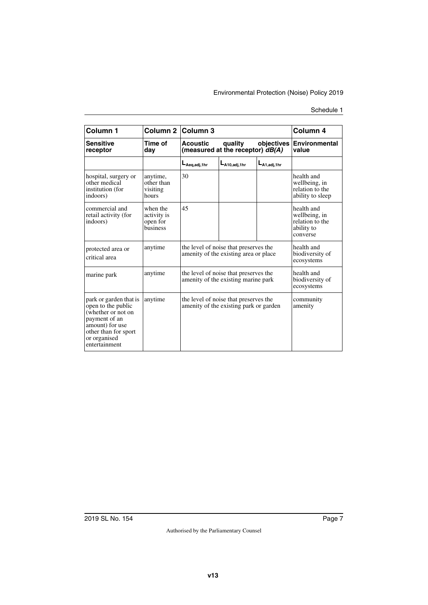| Column 1                                                                                                                                                        | Column 2 Column 3                               |                                                                                 | Column 4                                           |                   |                                                                          |
|-----------------------------------------------------------------------------------------------------------------------------------------------------------------|-------------------------------------------------|---------------------------------------------------------------------------------|----------------------------------------------------|-------------------|--------------------------------------------------------------------------|
| <b>Sensitive</b><br>receptor                                                                                                                                    | Time of<br>day                                  | <b>Acoustic</b><br>(measured at the receptor) $dB(A)$                           | <b>Environmental</b><br><b>objectives</b><br>value |                   |                                                                          |
|                                                                                                                                                                 |                                                 | $L_{Aeq, adj, 1hr}$                                                             | $L_{A10, \text{adi.}1hr}$                          | $L_{A1.addi,1hr}$ |                                                                          |
| hospital, surgery or<br>other medical<br>institution (for<br>indoors)                                                                                           | anytime,<br>other than<br>visiting<br>hours     | 30                                                                              |                                                    |                   | health and<br>wellbeing, in<br>relation to the<br>ability to sleep       |
| commercial and<br>retail activity (for<br>indoors)                                                                                                              | when the<br>activity is<br>open for<br>business | 45                                                                              |                                                    |                   | health and<br>wellbeing, in<br>relation to the<br>ability to<br>converse |
| protected area or<br>critical area                                                                                                                              | anytime                                         | the level of noise that preserves the<br>amenity of the existing area or place. | health and<br>biodiversity of<br>ecosystems        |                   |                                                                          |
| marine park                                                                                                                                                     | anytime                                         | the level of noise that preserves the<br>amenity of the existing marine park    | health and<br>biodiversity of<br>ecosystems        |                   |                                                                          |
| park or garden that is<br>open to the public<br>(whether or not on<br>payment of an<br>amount) for use<br>other than for sport<br>or organised<br>entertainment | anytime                                         | the level of noise that preserves the<br>amenity of the existing park or garden |                                                    |                   | community<br>amenity                                                     |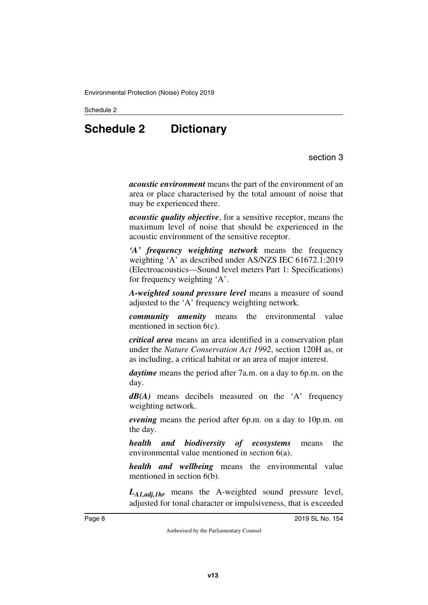<span id="page-7-0"></span>Schedule 2

# **Schedule 2 Dictionary**

section 3

<span id="page-7-1"></span>*acoustic environment* means the part of the environment of an area or place characterised by the total amount of noise that may be experienced there.

*acoustic quality objective*, for a sensitive receptor, means the maximum level of noise that should be experienced in the acoustic environment of the sensitive receptor.

*'A' frequency weighting network* means the frequency weighting 'A' as described under AS/NZS IEC 61672.1:2019 (Electroacoustics—Sound level meters Part 1: Specifications) for frequency weighting 'A'.

*A-weighted sound pressure level* means a measure of sound adjusted to the 'A' frequency weighting network.

*community amenity* means the environmental value mentioned in section 6(c).

*critical area* means an area identified in a conservation plan under the *Nature Conservation Act 1992*, section 120H as, or as including, a critical habitat or an area of major interest.

*daytime* means the period after 7a.m. on a day to 6p.m. on the day.

*dB(A)* means decibels measured on the 'A' frequency weighting network.

*evening* means the period after 6p.m. on a day to 10p.m. on the day.

*health and biodiversity of ecosystems* means the environmental value mentioned in section 6(a).

*health and wellbeing* means the environmental value mentioned in section 6(b).

*LA1,adj,1hr* means the A-weighted sound pressure level, adjusted for tonal character or impulsiveness, that is exceeded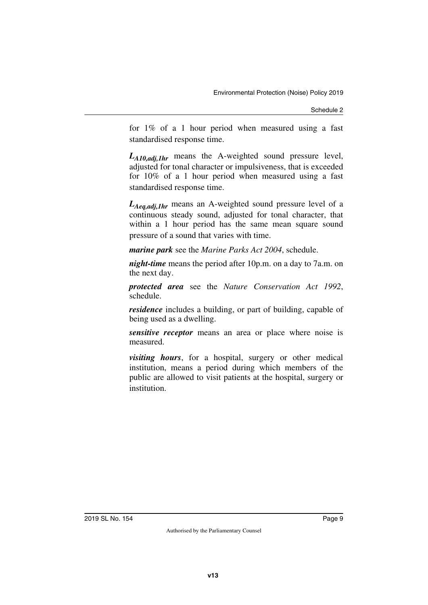Schedule 2

for 1% of a 1 hour period when measured using a fast standardised response time.

*LA10,adj,1hr* means the A-weighted sound pressure level, adjusted for tonal character or impulsiveness, that is exceeded for 10% of a 1 hour period when measured using a fast standardised response time.

*LAeq,adj,1hr* means an A-weighted sound pressure level of a continuous steady sound, adjusted for tonal character, that within a 1 hour period has the same mean square sound pressure of a sound that varies with time.

*marine park* see the *Marine Parks Act 2004*, schedule.

*night-time* means the period after 10p.m. on a day to 7a.m. on the next day.

*protected area* see the *Nature Conservation Act 1992*, schedule.

*residence* includes a building, or part of building, capable of being used as a dwelling.

*sensitive receptor* means an area or place where noise is measured.

*visiting hours*, for a hospital, surgery or other medical institution, means a period during which members of the public are allowed to visit patients at the hospital, surgery or institution.